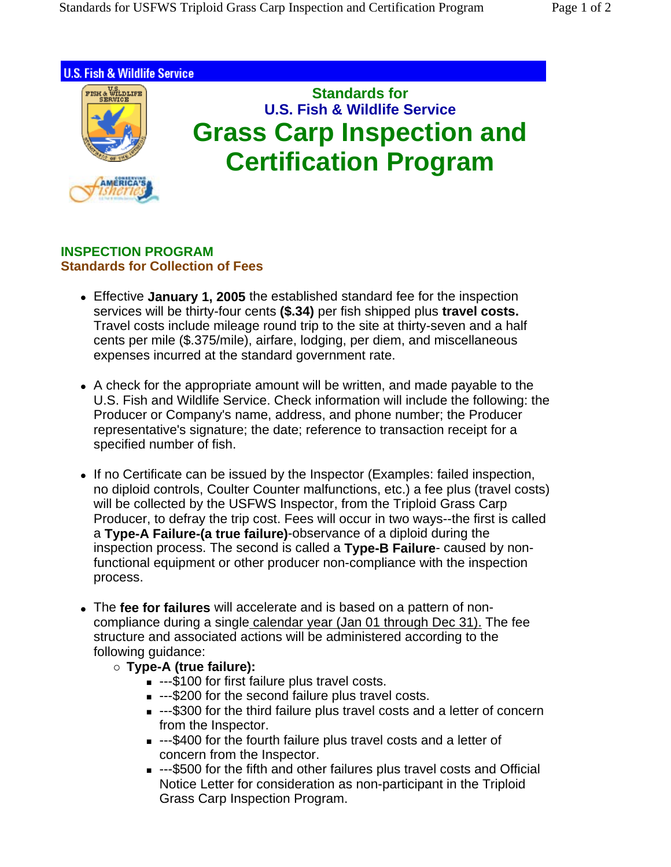

## **INSPECTION PROGRAM Standards for Collection of Fees**

- Effective January 1, 2005 the established standard fee for the inspection services will be thirty-four cents **(\$.34)** per fish shipped plus **travel costs.** Travel costs include mileage round trip to the site at thirty-seven and a half cents per mile (\$.375/mile), airfare, lodging, per diem, and miscellaneous expenses incurred at the standard government rate.
- A check for the appropriate amount will be written, and made payable to the U.S. Fish and Wildlife Service. Check information will include the following: the Producer or Company's name, address, and phone number; the Producer representative's signature; the date; reference to transaction receipt for a specified number of fish.
- If no Certificate can be issued by the Inspector (Examples: failed inspection, no diploid controls, Coulter Counter malfunctions, etc.) a fee plus (travel costs) will be collected by the USFWS Inspector, from the Triploid Grass Carp Producer, to defray the trip cost. Fees will occur in two ways--the first is called a **Type-A Failure-(a true failure)**-observance of a diploid during the inspection process. The second is called a **Type-B Failure**- caused by nonfunctional equipment or other producer non-compliance with the inspection process.
- The fee for failures will accelerate and is based on a pattern of noncompliance during a single calendar year (Jan 01 through Dec 31). The fee structure and associated actions will be administered according to the following guidance:
	- { **Type-A (true failure):**
		- ---\$100 for first failure plus travel costs.
		- ---\$200 for the second failure plus travel costs.
		- ---\$300 for the third failure plus travel costs and a letter of concern from the Inspector.
		- ---\$400 for the fourth failure plus travel costs and a letter of concern from the Inspector.
		- ---\$500 for the fifth and other failures plus travel costs and Official Notice Letter for consideration as non-participant in the Triploid Grass Carp Inspection Program.